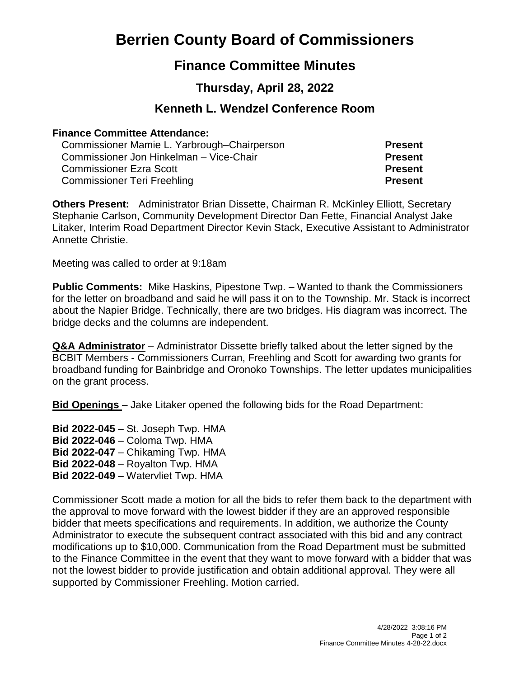# **Berrien County Board of Commissioners**

## **Finance Committee Minutes**

## **Thursday, April 28, 2022**

### **Kenneth L. Wendzel Conference Room**

#### **Finance Committee Attendance:**

Commissioner Mamie L. Yarbrough–Chairperson **Present** Commissioner Jon Hinkelman – Vice-Chair **Present** Commissioner Ezra Scott **Present** Commissioner Teri Freehling **Present**

**Others Present:** Administrator Brian Dissette, Chairman R. McKinley Elliott, Secretary Stephanie Carlson, Community Development Director Dan Fette, Financial Analyst Jake Litaker, Interim Road Department Director Kevin Stack, Executive Assistant to Administrator Annette Christie.

Meeting was called to order at 9:18am

**Public Comments:** Mike Haskins, Pipestone Twp. – Wanted to thank the Commissioners for the letter on broadband and said he will pass it on to the Township. Mr. Stack is incorrect about the Napier Bridge. Technically, there are two bridges. His diagram was incorrect. The bridge decks and the columns are independent.

**Q&A Administrator** – Administrator Dissette briefly talked about the letter signed by the BCBIT Members - Commissioners Curran, Freehling and Scott for awarding two grants for broadband funding for Bainbridge and Oronoko Townships. The letter updates municipalities on the grant process.

**Bid Openings** – Jake Litaker opened the following bids for the Road Department:

**Bid 2022-045** – St. Joseph Twp. HMA **Bid 2022-046** – Coloma Twp. HMA **Bid 2022-047** – Chikaming Twp. HMA **Bid 2022-048** – Royalton Twp. HMA **Bid 2022-049** – Watervliet Twp. HMA

Commissioner Scott made a motion for all the bids to refer them back to the department with the approval to move forward with the lowest bidder if they are an approved responsible bidder that meets specifications and requirements. In addition, we authorize the County Administrator to execute the subsequent contract associated with this bid and any contract modifications up to \$10,000. Communication from the Road Department must be submitted to the Finance Committee in the event that they want to move forward with a bidder that was not the lowest bidder to provide justification and obtain additional approval. They were all supported by Commissioner Freehling. Motion carried.